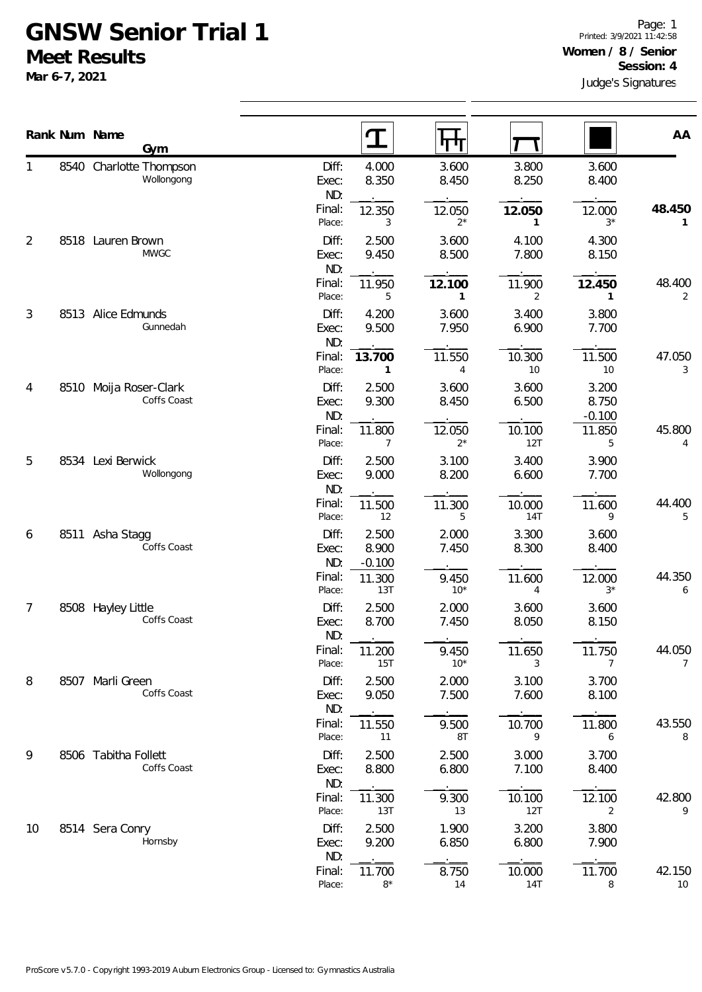## **GNSW Senior Trial 1 Meet Results**

**Mar 6-7, 2021**

|    | Rank Num Name<br>Gym                  |                       | ${\bf T}$                  | पाग             |                          |                            | AA           |  |
|----|---------------------------------------|-----------------------|----------------------------|-----------------|--------------------------|----------------------------|--------------|--|
|    | 8540 Charlotte Thompson<br>Wollongong | Diff:<br>Exec:<br>ND: | 4.000<br>8.350             | 3.600<br>8.450  | 3.800<br>8.250           | 3.600<br>8.400             |              |  |
|    |                                       | Final:<br>Place:      | 12.350<br>3                | 12.050<br>$2^*$ | 12.050<br>1              | 12.000<br>$3*$             | 48.450<br>1  |  |
| 2  | 8518 Lauren Brown<br><b>MWGC</b>      | Diff:<br>Exec:<br>ND: | 2.500<br>9.450             | 3.600<br>8.500  | 4.100<br>7.800           | 4.300<br>8.150             |              |  |
|    |                                       | Final:<br>Place:      | 11.950<br>5                | 12.100<br>1     | 11.900<br>$\overline{2}$ | 12.450<br>1                | 48.400<br>2  |  |
| 3  | 8513 Alice Edmunds<br>Gunnedah        | Diff:<br>Exec:<br>ND: | 4.200<br>9.500             | 3.600<br>7.950  | 3.400<br>6.900           | 3.800<br>7.700             |              |  |
|    |                                       | Final:<br>Place:      | 13.700<br>1                | 11.550<br>4     | 10.300<br>10             | 11.500<br>10               | 47.050<br>3  |  |
| 4  | 8510 Moija Roser-Clark<br>Coffs Coast | Diff:<br>Exec:<br>ND: | 2.500<br>9.300             | 3.600<br>8.450  | 3.600<br>6.500           | 3.200<br>8.750<br>$-0.100$ |              |  |
|    |                                       | Final:<br>Place:      | 11.800<br>7                | 12.050<br>$2^*$ | 10.100<br>12T            | 11.850<br>5                | 45.800<br>4  |  |
| 5  | 8534 Lexi Berwick<br>Wollongong       | Diff:<br>Exec:<br>ND: | 2.500<br>9.000             | 3.100<br>8.200  | 3.400<br>6.600           | 3.900<br>7.700             |              |  |
|    |                                       | Final:<br>Place:      | 11.500<br>12               | 11.300<br>5     | 10.000<br><b>14T</b>     | 11.600<br>9                | 44.400<br>5  |  |
| 6  | 8511 Asha Stagg<br>Coffs Coast        | Diff:<br>Exec:<br>ND: | 2.500<br>8.900<br>$-0.100$ | 2.000<br>7.450  | 3.300<br>8.300           | 3.600<br>8.400             |              |  |
|    |                                       | Final:<br>Place:      | 11.300<br>13T              | 9.450<br>$10*$  | 11.600<br>4              | 12.000<br>$3^{\star}$      | 44.350<br>6  |  |
| 7  | 8508 Hayley Little<br>Coffs Coast     | Diff:<br>Exec:<br>ND: | 2.500<br>8.700             | 2.000<br>7.450  | 3.600<br>8.050           | 3.600<br>8.150             |              |  |
|    |                                       | Final:<br>Place:      | 11.200<br>15T              | 9.450<br>$10*$  | 11.650<br>3              | 11.750<br>$\overline{7}$   | 44.050<br>7  |  |
| 8  | 8507 Marli Green<br>Coffs Coast       | Diff:<br>Exec:<br>ND: | 2.500<br>9.050             | 2.000<br>7.500  | 3.100<br>7.600           | 3.700<br>8.100             |              |  |
|    |                                       | Final:<br>Place:      | 11.550<br>11               | 9.500<br>8T     | 10.700<br>9              | 11.800<br>6                | 43.550<br>8  |  |
| 9  | 8506 Tabitha Follett<br>Coffs Coast   | Diff:<br>Exec:<br>ND: | 2.500<br>8.800             | 2.500<br>6.800  | 3.000<br>7.100           | 3.700<br>8.400             |              |  |
|    |                                       | Final:<br>Place:      | 11.300<br>13T              | 9.300<br>13     | 10.100<br>12T            | 12.100<br>$\overline{2}$   | 42.800<br>9  |  |
| 10 | 8514 Sera Conry<br>Hornsby            | Diff:<br>Exec:<br>ND: | 2.500<br>9.200             | 1.900<br>6.850  | 3.200<br>6.800           | 3.800<br>7.900             |              |  |
|    |                                       | Final:<br>Place:      | 11.700<br>$8*$             | 8.750<br>14     | 10.000<br><b>14T</b>     | 11.700<br>8                | 42.150<br>10 |  |